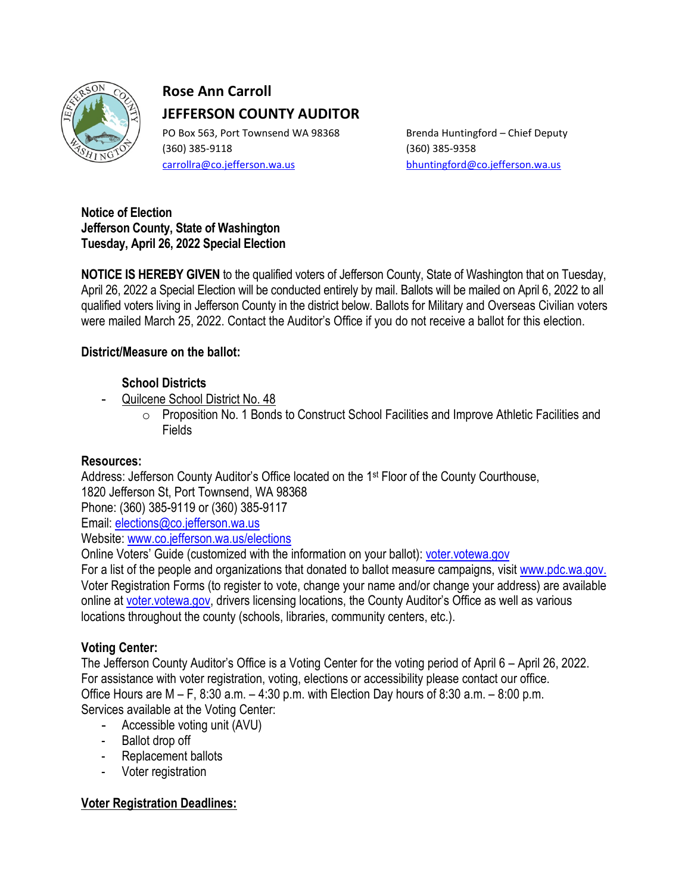

# **Rose Ann Carroll JEFFERSON COUNTY AUDITOR**

PO Box 563, Port Townsend WA 98368 Brenda Huntingford – Chief Deputy (360) 385-9118 (360) 385-9358 [carrollra@co.jefferson.wa.us](mailto:carrollra@co.jefferson.wa.us) [bhuntingford@co.jefferson.wa.us](mailto:bhuntingford@co.jefferson.wa.us)

#### **Notice of Election Jefferson County, State of Washington Tuesday, April 26, 2022 Special Election**

**NOTICE IS HEREBY GIVEN** to the qualified voters of Jefferson County, State of Washington that on Tuesday, April 26, 2022 a Special Election will be conducted entirely by mail. Ballots will be mailed on April 6, 2022 to all qualified voters living in Jefferson County in the district below. Ballots for Military and Overseas Civilian voters were mailed March 25, 2022. Contact the Auditor's Office if you do not receive a ballot for this election.

## **District/Measure on the ballot:**

## **School Districts**

- Quilcene School District No. 48
	- o Proposition No. 1 Bonds to Construct School Facilities and Improve Athletic Facilities and Fields

# **Resources:**

Address: Jefferson County Auditor's Office located on the 1<sup>st</sup> Floor of the County Courthouse, 1820 Jefferson St, Port Townsend, WA 98368 Phone: (360) 385-9119 or (360) 385-9117 Email: [elections@co.jefferson.wa.us](mailto:elections@co.jefferson.wa.us) Website: [www.co.jefferson.wa.us/](http://www.co.jefferson.wa.us/)elections Online Voters' Guide (customized with the information on your ballot): [voter.votewa.gov](http://www.myvote.wa.gov/)

For a list of the people and organizations that donated to ballot measure campaigns, visit [www.pdc.wa.gov.](http://www.pdc.wa.gov/) Voter Registration Forms (to register to vote, change your name and/or change your address) are available online at [voter.votewa.gov,](http://www.myvote.wa.gov/) drivers licensing locations, the County Auditor's Office as well as various locations throughout the county (schools, libraries, community centers, etc.).

# **Voting Center:**

The Jefferson County Auditor's Office is a Voting Center for the voting period of April 6 – April 26, 2022. For assistance with voter registration, voting, elections or accessibility please contact our office. Office Hours are M – F, 8:30 a.m. – 4:30 p.m. with Election Day hours of 8:30 a.m. – 8:00 p.m. Services available at the Voting Center:

- Accessible voting unit (AVU)
- Ballot drop off
- Replacement ballots
- Voter registration

# **Voter Registration Deadlines:**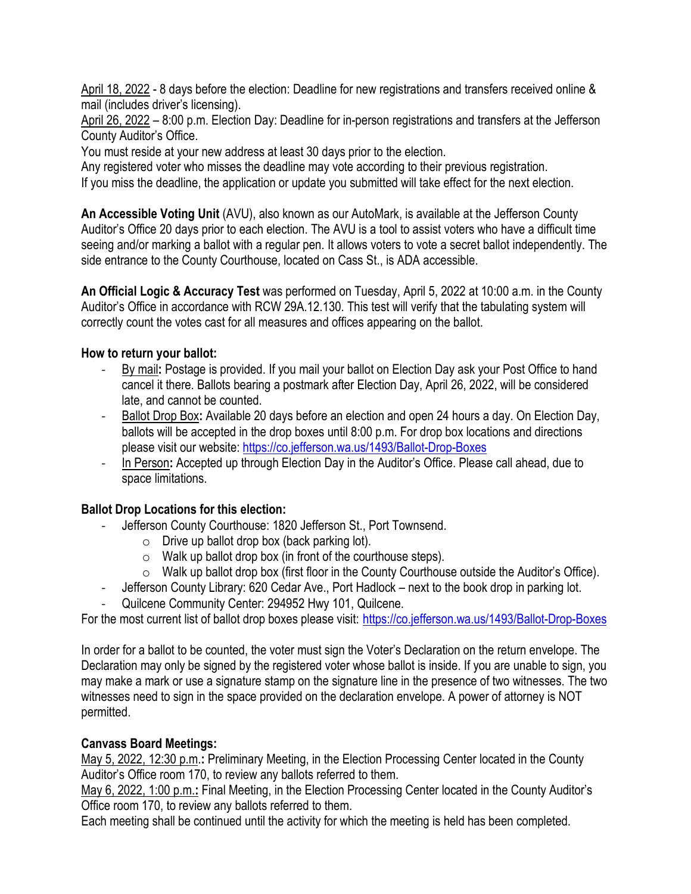April 18, 2022 - 8 days before the election: Deadline for new registrations and transfers received online & mail (includes driver's licensing).

April 26, 2022 – 8:00 p.m. Election Day: Deadline for in-person registrations and transfers at the Jefferson County Auditor's Office.

You must reside at your new address at least 30 days prior to the election.

Any registered voter who misses the deadline may vote according to their previous registration. If you miss the deadline, the application or update you submitted will take effect for the next election.

**An Accessible Voting Unit** (AVU), also known as our AutoMark, is available at the Jefferson County Auditor's Office 20 days prior to each election. The AVU is a tool to assist voters who have a difficult time seeing and/or marking a ballot with a regular pen. It allows voters to vote a secret ballot independently. The side entrance to the County Courthouse, located on Cass St., is ADA accessible.

**An Official Logic & Accuracy Test** was performed on Tuesday, April 5, 2022 at 10:00 a.m. in the County Auditor's Office in accordance with RCW 29A.12.130. This test will verify that the tabulating system will correctly count the votes cast for all measures and offices appearing on the ballot.

#### **How to return your ballot:**

- By mail**:** Postage is provided. If you mail your ballot on Election Day ask your Post Office to hand cancel it there. Ballots bearing a postmark after Election Day, April 26, 2022, will be considered late, and cannot be counted.
- Ballot Drop Box**:** Available 20 days before an election and open 24 hours a day. On Election Day, ballots will be accepted in the drop boxes until 8:00 p.m. For drop box locations and directions please visit our website:<https://co.jefferson.wa.us/1493/Ballot-Drop-Boxes>
- In Person**:** Accepted up through Election Day in the Auditor's Office. Please call ahead, due to space limitations.

### **Ballot Drop Locations for this election:**

- Jefferson County Courthouse: 1820 Jefferson St., Port Townsend.
	- $\circ$  Drive up ballot drop box (back parking lot).
	- $\circ$  Walk up ballot drop box (in front of the courthouse steps).
	- $\circ$  Walk up ballot drop box (first floor in the County Courthouse outside the Auditor's Office).
- Jefferson County Library: 620 Cedar Ave., Port Hadlock next to the book drop in parking lot.
- Quilcene Community Center: 294952 Hwy 101, Quilcene.

For the most current list of ballot drop boxes please visit: <https://co.jefferson.wa.us/1493/Ballot-Drop-Boxes>

In order for a ballot to be counted, the voter must sign the Voter's Declaration on the return envelope. The Declaration may only be signed by the registered voter whose ballot is inside. If you are unable to sign, you may make a mark or use a signature stamp on the signature line in the presence of two witnesses. The two witnesses need to sign in the space provided on the declaration envelope. A power of attorney is NOT permitted.

#### **Canvass Board Meetings:**

May 5, 2022, 12:30 p.m.**:** Preliminary Meeting, in the Election Processing Center located in the County Auditor's Office room 170, to review any ballots referred to them.

May 6, 2022, 1:00 p.m.**:** Final Meeting, in the Election Processing Center located in the County Auditor's Office room 170, to review any ballots referred to them.

Each meeting shall be continued until the activity for which the meeting is held has been completed.